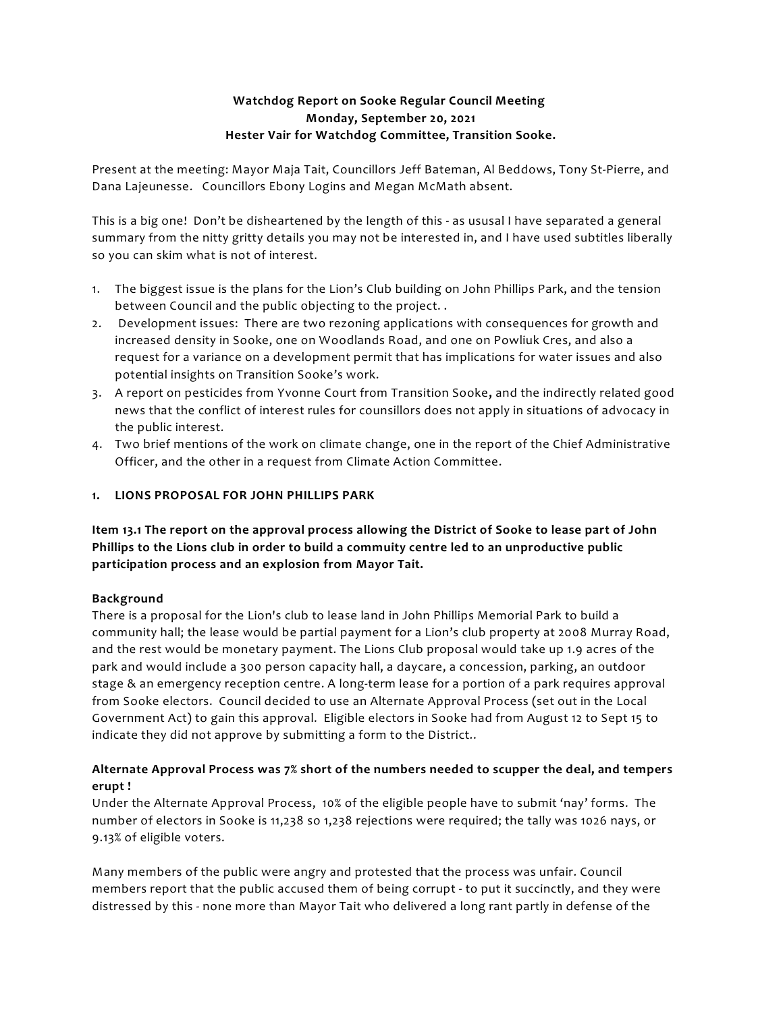# **Watchdog Report on Sooke Regular Council Meeting Monday, September 20, 2021 Hester Vair for Watchdog Committee, Transition Sooke.**

Present at the meeting: Mayor Maja Tait, Councillors Jeff Bateman, Al Beddows, Tony St-Pierre, and Dana Lajeunesse. Councillors Ebony Logins and Megan McMath absent.

This is a big one! Don't be disheartened by the length of this - as ususal I have separated a general summary from the nitty gritty details you may not be interested in, and I have used subtitles liberally so you can skim what is not of interest.

- 1. The biggest issue is the plans for the Lion's Club building on John Phillips Park, and the tension between Council and the public objecting to the project. .
- 2. Development issues: There are two rezoning applications with consequences for growth and increased density in Sooke, one on Woodlands Road, and one on Powliuk Cres, and also a request for a variance on a development permit that has implications for water issues and also potential insights on Transition Sooke's work.
- 3. A report on pesticides from Yvonne Court from Transition Sooke, and the indirectly related good news that the conflict of interest rules for counsillors does not apply in situations of advocacy in the public interest.
- 4. Two brief mentions of the work on climate change, one in the report of the Chief Administrative Officer, and the other in a request from Climate Action Committee.

## **1. LIONS PROPOSAL FOR JOHN PHILLIPS PARK**

**Item 13.1 The report on the approval process allowing the District of Sooke to lease part of John Phillips to the Lions club in order to build a commuity centre led to an unproductive public participation process and an explosion from Mayor Tait.**

### **Background**

There is a proposal for the Lion's club to lease land in John Phillips Memorial Park to build a community hall; the lease would be partial payment for a Lion's club property at 2008 Murray Road, and the rest would be monetary payment. The Lions Club proposal would take up 1.9 acres of the park and would include a 300 person capacity hall, a daycare, a concession, parking, an outdoor stage & an emergency reception centre. A long-term lease for a portion of a park requires approval from Sooke electors. Council decided to use an Alternate Approval Process (set out in the Local Government Act) to gain this approval. Eligible electors in Sooke had from August 12 to Sept 15 to indicate they did not approve by submitting a form to the District..

# **Alternate Approval Process was 7% short of the numbers needed to scupper the deal, and tempers erupt !**

Under the Alternate Approval Process, 10% of the eligible people have to submit 'nay' forms. The number of electors in Sooke is 11,238 so 1,238 rejections were required; the tally was 1026 nays, or 9.13% of eligible voters.

Many members of the public were angry and protested that the process was unfair. Council members report that the public accused them of being corrupt - to put it succinctly, and they were distressed by this - none more than Mayor Tait who delivered a long rant partly in defense of the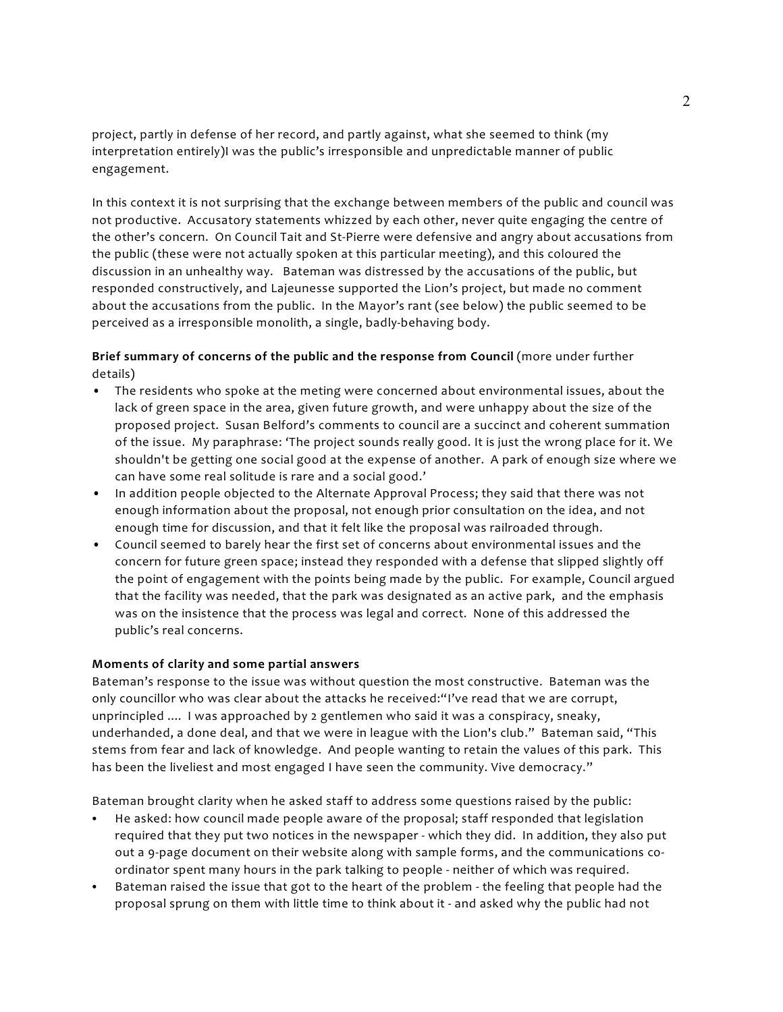project, partly in defense of her record, and partly against, what she seemed to think (my interpretation entirely)I was the public's irresponsible and unpredictable manner of public engagement.

In this context it is not surprising that the exchange between members of the public and council was not productive. Accusatory statements whizzed by each other, never quite engaging the centre of the other's concern. On Council Tait and St-Pierre were defensive and angry about accusations from the public (these were not actually spoken at this particular meeting), and this coloured the discussion in an unhealthy way. Bateman was distressed by the accusations of the public, but responded constructively, and Lajeunesse supported the Lion's project, but made no comment about the accusations from the public. In the Mayor's rant (see below) the public seemed to be perceived as a irresponsible monolith, a single, badly-behaving body.

# **Brief summary of concerns of the public and the response from Council** (more under further details)

- The residents who spoke at the meting were concerned about environmental issues, about the lack of green space in the area, given future growth, and were unhappy about the size of the proposed project. Susan Belford's comments to council are a succinct and coherent summation of the issue. My paraphrase: 'The project sounds really good. It is just the wrong place for it. We shouldn't be getting one social good at the expense of another. A park of enough size where we can have some real solitude is rare and a social good.'
- In addition people objected to the Alternate Approval Process; they said that there was not enough information about the proposal, not enough prior consultation on the idea, and not enough time for discussion, and that it felt like the proposal was railroaded through.
- Council seemed to barely hear the first set of concerns about environmental issues and the concern for future green space; instead they responded with a defense that slipped slightly off the point of engagement with the points being made by the public. For example, Council argued that the facility was needed, that the park was designated as an active park, and the emphasis was on the insistence that the process was legal and correct. None of this addressed the public's real concerns.

### **Moments of clarity and some partial answers**

Bateman's response to the issue was without question the most constructive. Bateman was the only councillor who was clear about the attacks he received:"I've read that we are corrupt, unprincipled .... I was approached by 2 gentlemen who said it was a conspiracy, sneaky, underhanded, a done deal, and that we were in league with the Lion's club." Bateman said, "This stems from fear and lack of knowledge. And people wanting to retain the values of this park. This has been the liveliest and most engaged I have seen the community. Vive democracy."

Bateman brought clarity when he asked staff to address some questions raised by the public:

- He asked: how council made people aware of the proposal; staff responded that legislation required that they put two notices in the newspaper - which they did. In addition, they also put out a 9-page document on their website along with sample forms, and the communications coordinator spent many hours in the park talking to people - neither of which was required.
- Bateman raised the issue that got to the heart of the problem the feeling that people had the proposal sprung on them with little time to think about it - and asked why the public had not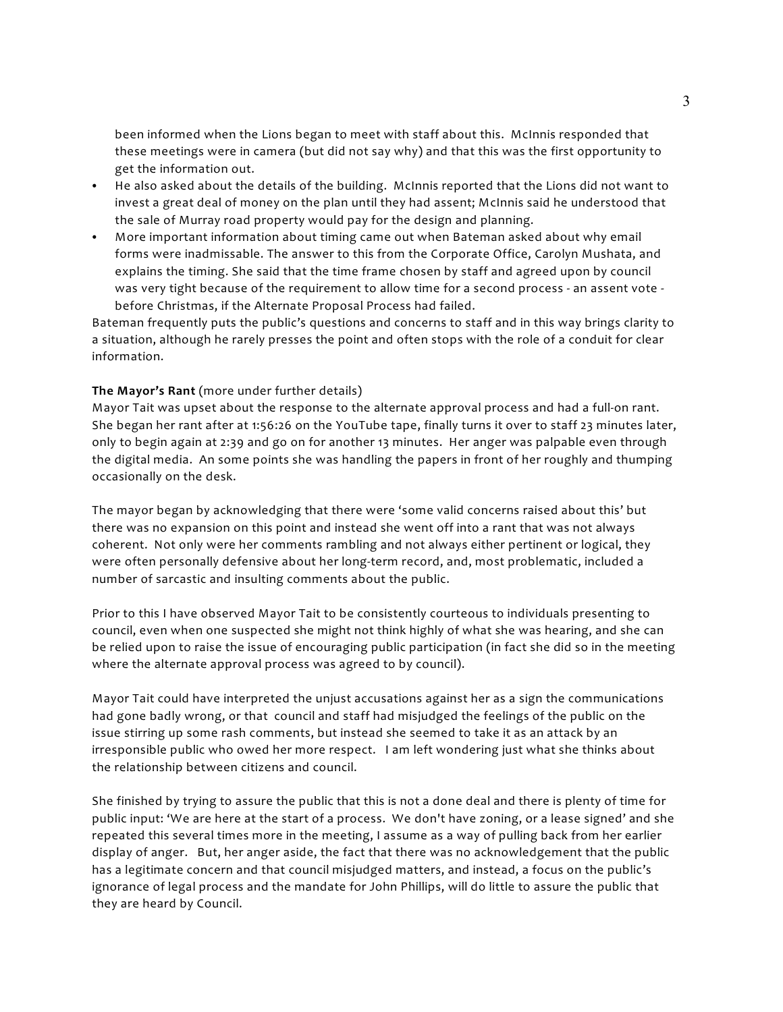been informed when the Lions began to meet with staff about this. McInnis responded that these meetings were in camera (but did not say why) and that this was the first opportunity to get the information out.

- He also asked about the details of the building. McInnis reported that the Lions did not want to invest a great deal of money on the plan until they had assent; McInnis said he understood that the sale of Murray road property would pay for the design and planning.
- More important information about timing came out when Bateman asked about why email forms were inadmissable. The answer to this from the Corporate Office, Carolyn Mushata, and explains the timing. She said that the time frame chosen by staff and agreed upon by council was very tight because of the requirement to allow time for a second process - an assent vote before Christmas, if the Alternate Proposal Process had failed.

Bateman frequently puts the public's questions and concerns to staff and in this way brings clarity to a situation, although he rarely presses the point and often stops with the role of a conduit for clear information.

#### **The Mayor's Rant** (more under further details)

Mayor Tait was upset about the response to the alternate approval process and had a full-on rant. She began her rant after at 1:56:26 on the YouTube tape, finally turns it over to staff 23 minutes later, only to begin again at 2:39 and go on for another 13 minutes. Her anger was palpable even through the digital media. An some points she was handling the papers in front of her roughly and thumping occasionally on the desk.

The mayor began by acknowledging that there were 'some valid concerns raised about this' but there was no expansion on this point and instead she went off into a rant that was not always coherent. Not only were her comments rambling and not always either pertinent or logical, they were often personally defensive about her long-term record, and, most problematic, included a number of sarcastic and insulting comments about the public.

Prior to this I have observed Mayor Tait to be consistently courteous to individuals presenting to council, even when one suspected she might not think highly of what she was hearing, and she can be relied upon to raise the issue of encouraging public participation (in fact she did so in the meeting where the alternate approval process was agreed to by council).

Mayor Tait could have interpreted the unjust accusations against her as a sign the communications had gone badly wrong, or that council and staff had misjudged the feelings of the public on the issue stirring up some rash comments, but instead she seemed to take it as an attack by an irresponsible public who owed her more respect. I am left wondering just what she thinks about the relationship between citizens and council.

She finished by trying to assure the public that this is not a done deal and there is plenty of time for public input: 'We are here at the start of a process. We don't have zoning, or a lease signed' and she repeated this several times more in the meeting, I assume as a way of pulling back from her earlier display of anger. But, her anger aside, the fact that there was no acknowledgement that the public has a legitimate concern and that council misjudged matters, and instead, a focus on the public's ignorance of legal process and the mandate for John Phillips, will do little to assure the public that they are heard by Council.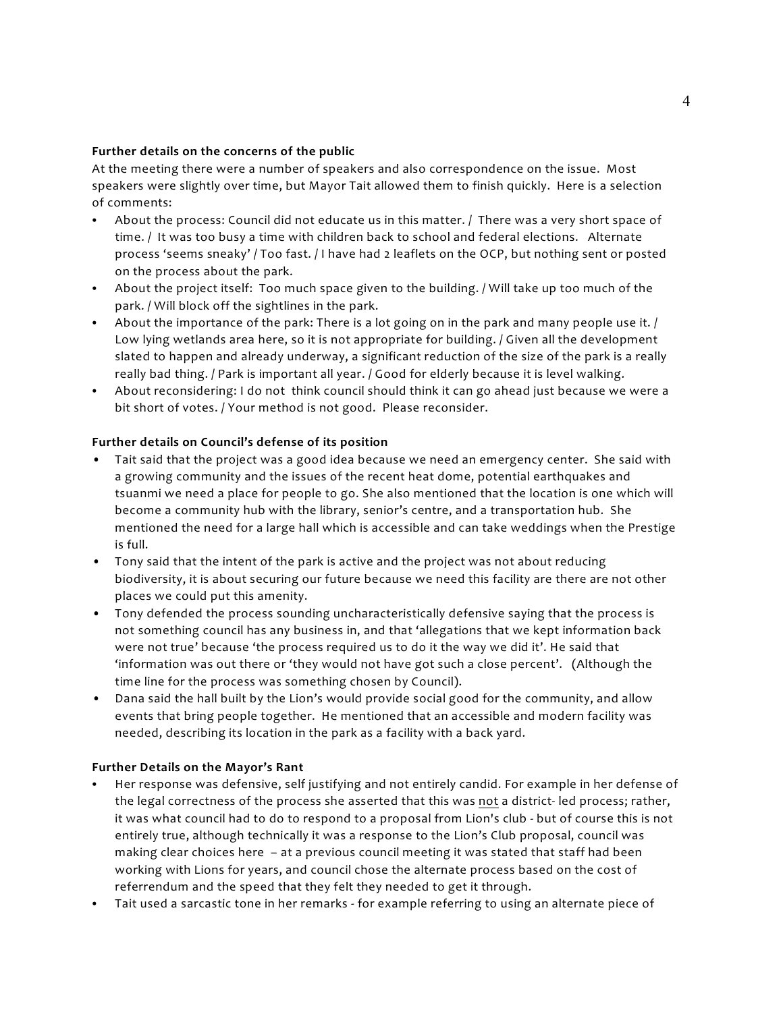### **Further details on the concerns of the public**

At the meeting there were a number of speakers and also correspondence on the issue. Most speakers were slightly over time, but Mayor Tait allowed them to finish quickly. Here is a selection of comments:

- About the process: Council did not educate us in this matter. / There was a very short space of time. / It was too busy a time with children back to school and federal elections. Alternate process 'seems sneaky' / Too fast. / I have had 2 leaflets on the OCP, but nothing sent or posted on the process about the park.
- About the project itself: Too much space given to the building. / Will take up too much of the park. / Will block off the sightlines in the park.
- About the importance of the park: There is a lot going on in the park and many people use it.  $/$ Low lying wetlands area here, so it is not appropriate for building. / Given all the development slated to happen and already underway, a significant reduction of the size of the park is a really really bad thing. / Park is important all year. / Good for elderly because it is level walking.
- C About reconsidering: I do not think council should think it can go ahead just because we were a bit short of votes. / Your method is not good. Please reconsider.

## **Further details on Council's defense of its position**

- Tait said that the project was a good idea because we need an emergency center. She said with a growing community and the issues of the recent heat dome, potential earthquakes and tsuanmi we need a place for people to go. She also mentioned that the location is one which will become a community hub with the library, senior's centre, and a transportation hub. She mentioned the need for a large hall which is accessible and can take weddings when the Prestige is full.
- Tony said that the intent of the park is active and the project was not about reducing biodiversity, it is about securing our future because we need this facility are there are not other places we could put this amenity.
- Tony defended the process sounding uncharacteristically defensive saying that the process is not something council has any business in, and that 'allegations that we kept information back were not true' because 'the process required us to do it the way we did it'. He said that 'information was out there or 'they would not have got such a close percent'. (Although the time line for the process was something chosen by Council).
- Dana said the hall built by the Lion's would provide social good for the community, and allow events that bring people together. He mentioned that an accessible and modern facility was needed, describing its location in the park as a facility with a back yard.

### **Further Details on the Mayor's Rant**

- Her response was defensive, self justifying and not entirely candid. For example in her defense of the legal correctness of the process she asserted that this was not a district- led process; rather, it was what council had to do to respond to a proposal from Lion's club - but of course this is not entirely true, although technically it was a response to the Lion's Club proposal, council was making clear choices here – at a previous council meeting it was stated that staff had been working with Lions for years, and council chose the alternate process based on the cost of referrendum and the speed that they felt they needed to get it through.
- Tait used a sarcastic tone in her remarks for example referring to using an alternate piece of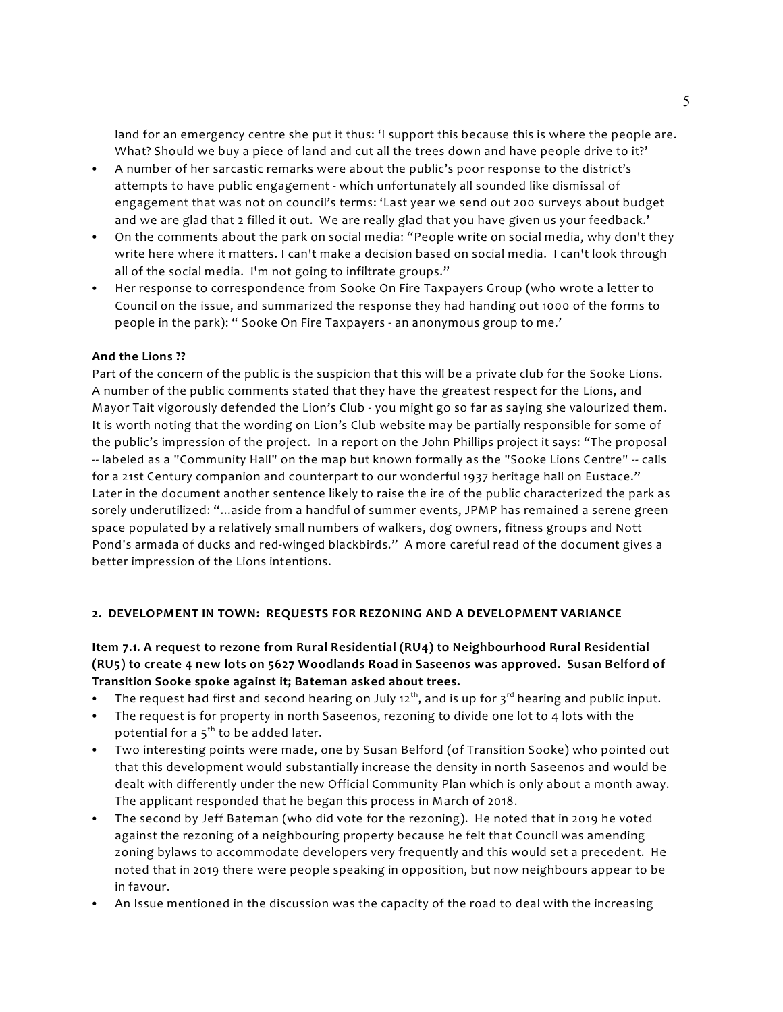land for an emergency centre she put it thus: 'I support this because this is where the people are. What? Should we buy a piece of land and cut all the trees down and have people drive to it?'

- C A number of her sarcastic remarks were about the public's poor response to the district's attempts to have public engagement - which unfortunately all sounded like dismissal of engagement that was not on council's terms: 'Last year we send out 200 surveys about budget and we are glad that 2 filled it out. We are really glad that you have given us your feedback.'
- On the comments about the park on social media: "People write on social media, why don't they write here where it matters. I can't make a decision based on social media. I can't look through all of the social media. I'm not going to infiltrate groups."
- Her response to correspondence from Sooke On Fire Taxpayers Group (who wrote a letter to Council on the issue, and summarized the response they had handing out 1000 of the forms to people in the park): " Sooke On Fire Taxpayers - an anonymous group to me.'

## **And the Lions ??**

Part of the concern of the public is the suspicion that this will be a private club for the Sooke Lions. A number of the public comments stated that they have the greatest respect for the Lions, and Mayor Tait vigorously defended the Lion's Club - you might go so far as saying she valourized them. It is worth noting that the wording on Lion's Club website may be partially responsible for some of the public's impression of the project. In a report on the John Phillips project it says: "The proposal -- labeled as a "Community Hall" on the map but known formally as the "Sooke Lions Centre" -- calls for a 21st Century companion and counterpart to our wonderful 1937 heritage hall on Eustace." Later in the document another sentence likely to raise the ire of the public characterized the park as sorely underutilized: "...aside from a handful of summer events, JPMP has remained a serene green space populated by a relatively small numbers of walkers, dog owners, fitness groups and Nott Pond's armada of ducks and red-winged blackbirds." A more careful read of the document gives a better impression of the Lions intentions.

### **2. DEVELOPMENT IN TOWN: REQUESTS FOR REZONING AND A DEVELOPMENT VARIANCE**

# **Item 7.1. A request to rezone from Rural Residential (RU4) to Neighbourhood Rural Residential (RU5) to create 4 new lots on 5627 Woodlands Road in Saseenos was approved. Susan Belford of Transition Sooke spoke against it; Bateman asked about trees.**

- The request had first and second hearing on July 12<sup>th</sup>, and is up for 3<sup>rd</sup> hearing and public input.
- The request is for property in north Saseenos, rezoning to divide one lot to 4 lots with the potential for a  $5<sup>th</sup>$  to be added later.
- Two interesting points were made, one by Susan Belford (of Transition Sooke) who pointed out that this development would substantially increase the density in north Saseenos and would be dealt with differently under the new Official Community Plan which is only about a month away. The applicant responded that he began this process in March of 2018.
- C The second by Jeff Bateman (who did vote for the rezoning). He noted that in 2019 he voted against the rezoning of a neighbouring property because he felt that Council was amending zoning bylaws to accommodate developers very frequently and this would set a precedent. He noted that in 2019 there were people speaking in opposition, but now neighbours appear to be in favour.
- An Issue mentioned in the discussion was the capacity of the road to deal with the increasing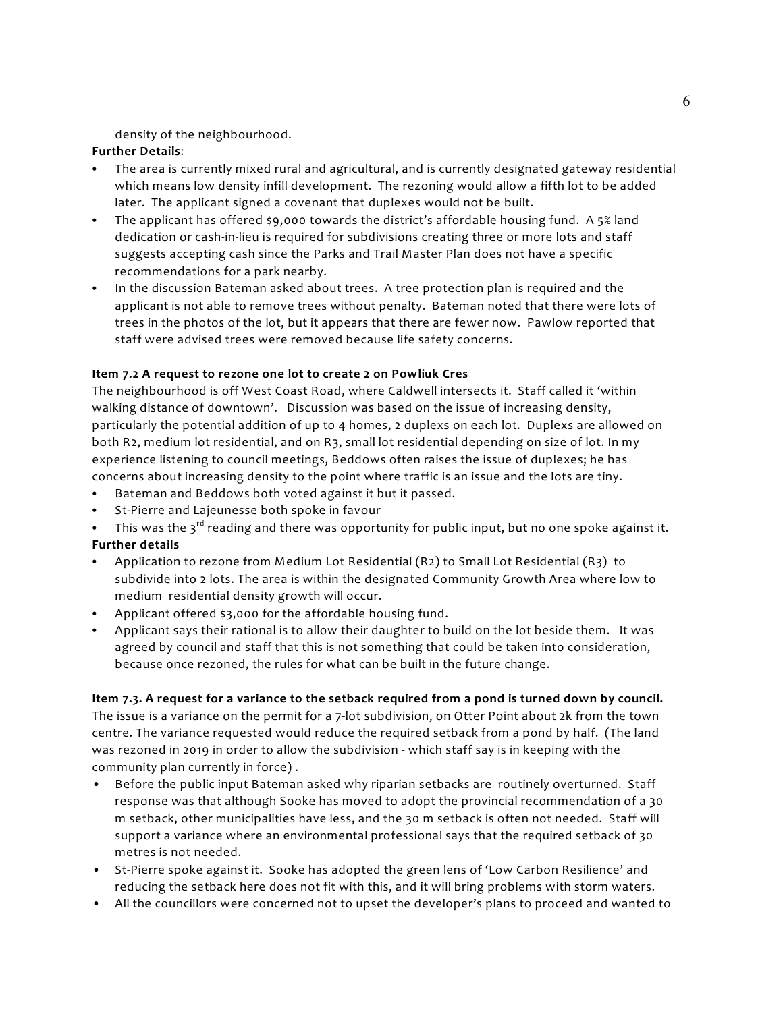density of the neighbourhood.

# **Further Details**:

- The area is currently mixed rural and agricultural, and is currently designated gateway residential which means low density infill development. The rezoning would allow a fifth lot to be added later. The applicant signed a covenant that duplexes would not be built.
- The applicant has offered \$9,000 towards the district's affordable housing fund. A 5% land dedication or cash-in-lieu is required for subdivisions creating three or more lots and staff suggests accepting cash since the Parks and Trail Master Plan does not have a specific recommendations for a park nearby.
- In the discussion Bateman asked about trees. A tree protection plan is required and the applicant is not able to remove trees without penalty. Bateman noted that there were lots of trees in the photos of the lot, but it appears that there are fewer now. Pawlow reported that staff were advised trees were removed because life safety concerns.

## **Item 7.2 A request to rezone one lot to create 2 on Powliuk Cres**

The neighbourhood is off West Coast Road, where Caldwell intersects it. Staff called it 'within walking distance of downtown'. Discussion was based on the issue of increasing density, particularly the potential addition of up to 4 homes, 2 duplexs on each lot. Duplexs are allowed on both R2, medium lot residential, and on R3, small lot residential depending on size of lot. In my experience listening to council meetings, Beddows often raises the issue of duplexes; he has concerns about increasing density to the point where traffic is an issue and the lots are tiny.

- Bateman and Beddows both voted against it but it passed.
- St-Pierre and Lajeunesse both spoke in favour
- This was the  $3^{rd}$  reading and there was opportunity for public input, but no one spoke against it.

# **Further details**

- Application to rezone from Medium Lot Residential (R2) to Small Lot Residential (R3) to subdivide into 2 lots. The area is within the designated Community Growth Area where low to medium residential density growth will occur.
- Applicant offered \$3,000 for the affordable housing fund.
- Applicant says their rational is to allow their daughter to build on the lot beside them. It was agreed by council and staff that this is not something that could be taken into consideration, because once rezoned, the rules for what can be built in the future change.

**Item 7.3. A request for a variance to the setback required from a pond is turned down by council.**  The issue is a variance on the permit for a 7-lot subdivision, on Otter Point about 2k from the town centre. The variance requested would reduce the required setback from a pond by half. (The land was rezoned in 2019 in order to allow the subdivision - which staff say is in keeping with the community plan currently in force) .

- Before the public input Bateman asked why riparian setbacks are routinely overturned. Staff response was that although Sooke has moved to adopt the provincial recommendation of a 30 m setback, other municipalities have less, and the 30 m setback is often not needed. Staff will support a variance where an environmental professional says that the required setback of 30 metres is not needed.
- St-Pierre spoke against it. Sooke has adopted the green lens of 'Low Carbon Resilience' and reducing the setback here does not fit with this, and it will bring problems with storm waters.
- All the councillors were concerned not to upset the developer's plans to proceed and wanted to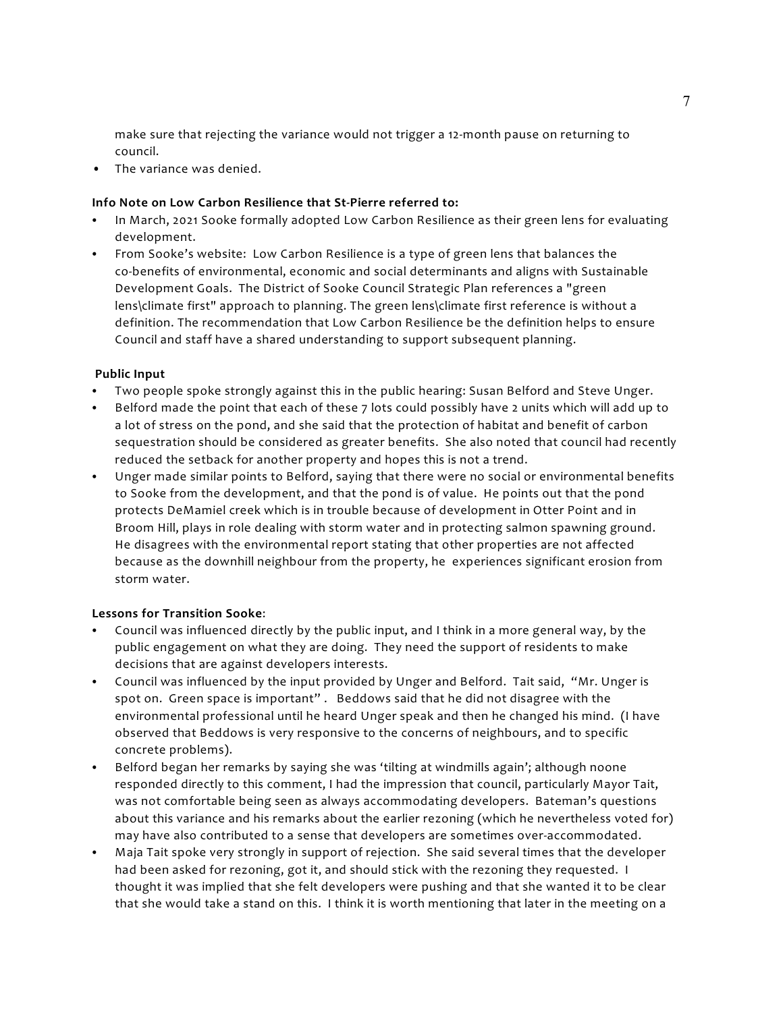make sure that rejecting the variance would not trigger a 12-month pause on returning to council.

• The variance was denied.

### **Info Note on Low Carbon Resilience that St-Pierre referred to:**

- In March, 2021 Sooke formally adopted Low Carbon Resilience as their green lens for evaluating development.
- From Sooke's website: Low Carbon Resilience is a type of green lens that balances the co-benefits of environmental, economic and social determinants and aligns with Sustainable Development Goals. The District of Sooke Council Strategic Plan references a "green lens\climate first" approach to planning. The green lens\climate first reference is without a definition. The recommendation that Low Carbon Resilience be the definition helps to ensure Council and staff have a shared understanding to support subsequent planning.

### **Public Input**

- Two people spoke strongly against this in the public hearing: Susan Belford and Steve Unger.
- Belford made the point that each of these 7 lots could possibly have 2 units which will add up to a lot of stress on the pond, and she said that the protection of habitat and benefit of carbon sequestration should be considered as greater benefits. She also noted that council had recently reduced the setback for another property and hopes this is not a trend.
- Unger made similar points to Belford, saying that there were no social or environmental benefits to Sooke from the development, and that the pond is of value. He points out that the pond protects DeMamiel creek which is in trouble because of development in Otter Point and in Broom Hill, plays in role dealing with storm water and in protecting salmon spawning ground. He disagrees with the environmental report stating that other properties are not affected because as the downhill neighbour from the property, he experiences significant erosion from storm water.

### **Lessons for Transition Sooke**:

- C Council was influenced directly by the public input, and I think in a more general way, by the public engagement on what they are doing. They need the support of residents to make decisions that are against developers interests.
- Council was influenced by the input provided by Unger and Belford. Tait said, "Mr. Unger is spot on. Green space is important" . Beddows said that he did not disagree with the environmental professional until he heard Unger speak and then he changed his mind. (I have observed that Beddows is very responsive to the concerns of neighbours, and to specific concrete problems).
- Belford began her remarks by saying she was 'tilting at windmills again'; although noone responded directly to this comment, I had the impression that council, particularly Mayor Tait, was not comfortable being seen as always accommodating developers. Bateman's questions about this variance and his remarks about the earlier rezoning (which he nevertheless voted for) may have also contributed to a sense that developers are sometimes over-accommodated.
- Maja Tait spoke very strongly in support of rejection. She said several times that the developer had been asked for rezoning, got it, and should stick with the rezoning they requested. I thought it was implied that she felt developers were pushing and that she wanted it to be clear that she would take a stand on this. I think it is worth mentioning that later in the meeting on a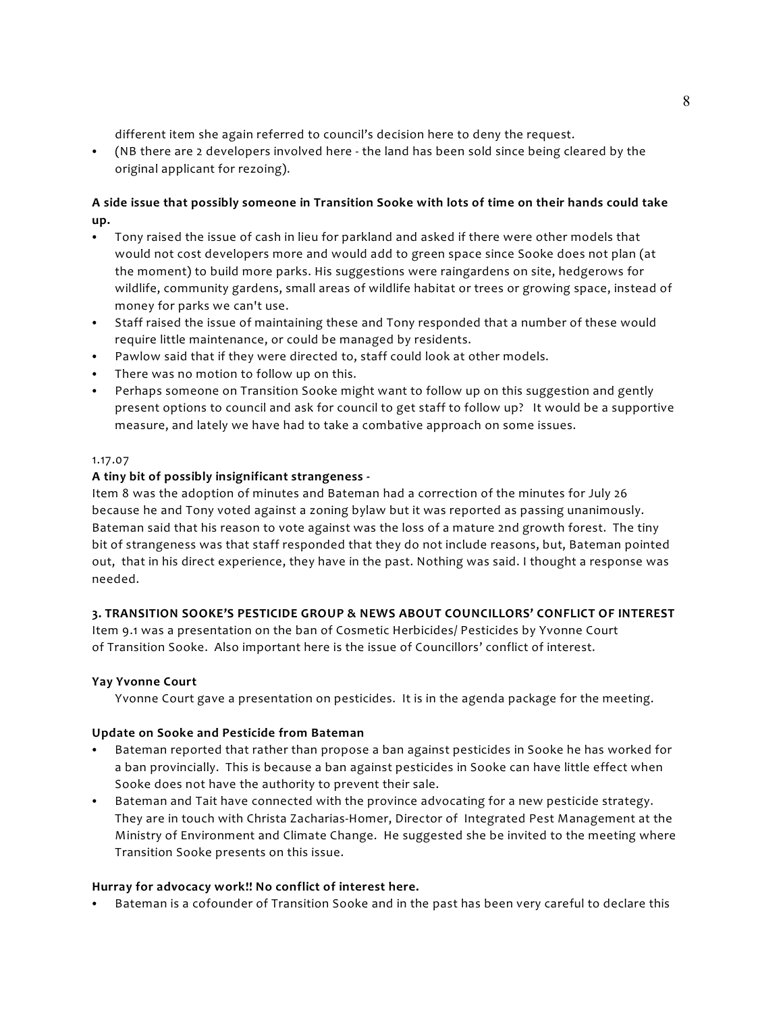different item she again referred to council's decision here to deny the request.

C (NB there are 2 developers involved here - the land has been sold since being cleared by the original applicant for rezoing).

# **A side issue that possibly someone in Transition Sooke with lots of time on their hands could take up.**

- Tony raised the issue of cash in lieu for parkland and asked if there were other models that would not cost developers more and would add to green space since Sooke does not plan (at the moment) to build more parks. His suggestions were raingardens on site, hedgerows for wildlife, community gardens, small areas of wildlife habitat or trees or growing space, instead of money for parks we can't use.
- Staff raised the issue of maintaining these and Tony responded that a number of these would require little maintenance, or could be managed by residents.
- Pawlow said that if they were directed to, staff could look at other models.
- There was no motion to follow up on this.
- Perhaps someone on Transition Sooke might want to follow up on this suggestion and gently present options to council and ask for council to get staff to follow up? It would be a supportive measure, and lately we have had to take a combative approach on some issues.

#### 1.17.07

### **A tiny bit of possibly insignificant strangeness -**

Item 8 was the adoption of minutes and Bateman had a correction of the minutes for July 26 because he and Tony voted against a zoning bylaw but it was reported as passing unanimously. Bateman said that his reason to vote against was the loss of a mature 2nd growth forest. The tiny bit of strangeness was that staff responded that they do not include reasons, but, Bateman pointed out, that in his direct experience, they have in the past. Nothing was said. I thought a response was needed.

### **3. TRANSITION SOOKE'S PESTICIDE GROUP & NEWS ABOUT COUNCILLORS' CONFLICT OF INTEREST**

Item 9.1 was a presentation on the ban of Cosmetic Herbicides/ Pesticides by Yvonne Court of Transition Sooke. Also important here is the issue of Councillors' conflict of interest.

### **Yay Yvonne Court**

Yvonne Court gave a presentation on pesticides. It is in the agenda package for the meeting.

### **Update on Sooke and Pesticide from Bateman**

- Bateman reported that rather than propose a ban against pesticides in Sooke he has worked for a ban provincially. This is because a ban against pesticides in Sooke can have little effect when Sooke does not have the authority to prevent their sale.
- Bateman and Tait have connected with the province advocating for a new pesticide strategy. They are in touch with Christa Zacharias-Homer, Director of Integrated Pest Management at the Ministry of Environment and Climate Change. He suggested she be invited to the meeting where Transition Sooke presents on this issue.

### **Hurray for advocacy work!! No conflict of interest here.**

Bateman is a cofounder of Transition Sooke and in the past has been very careful to declare this